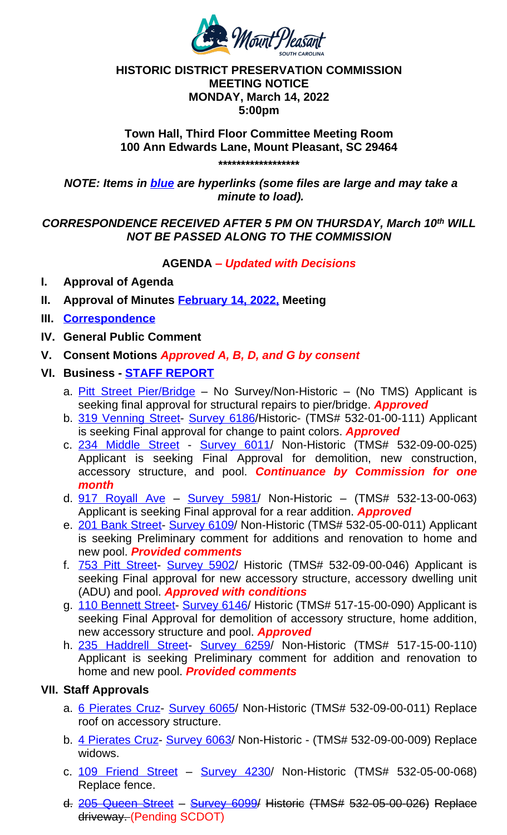#### *NOTE: Items in blue are hyperlinks (some files are large and may take a minute to load).*

# *CORRESPONDENCE RECEIVED AFTER 5 PM ON THURSDAY, March 10th WILL NOT BE PASSED ALONG TO THE COMMISSION*

# **AGENDA** *– Updated with Decisions*

- **I. Approval of Agenda**
- **II. Approval of Minutes February 14, 2022, Meeting**
- **III. Correspondence**
- **IV. General Public Comment**
- **V. Consent Motions** *Approved A, B, D, and G by consent*
- **VI. Business STAFF REPORT**
	- a. Pitt Street Pier/Bridge No Survey/Non-Historic (No TMS) Applicant is seeking final approval for structural repairs to pier/bridge. *Approved*
	- b. 319 Venning Street- Survey 6186/Historic- (TMS# 532-01-00-111) Applicant is seeking Final approval for change to paint colors. *Approved*
	- c. 234 Middle Street Survey 6011/ Non-Historic (TMS# 532-09-00-025) Applicant is seeking Final Approval for demolition, new construction, accessory structure, and [pool.](http://www.tompsc.com/AgendaCenter/ViewFile/Minutes/_02142022-1142) *Con[tinuance](http://www.tompsc.com/AgendaCenter/ViewFile/Minutes/_02142022-1142) by Commission for one month*
	- d. [917 Royall Av](https://www.tompsc.com/DocumentCenter/View/40886/Crrespondence)e Survey 5981/ Non-Historic (TMS# 532-13-00-063) Applicant is seeking Final approval for a rear addition. *Approved*
	- e. 201 Bank Street- Survey 6109/ Non-Historic (TMS# 532-05-00-011) Applicant is seeking Preliminary comment for additions and renovation to home and new pool. *[Provided comm](https://www.tompsc.com/DocumentCenter/View/40844/March-2022-Staff-Report)ents*
	- f. [753 Pitt Street-](https://www.tompsc.com/DocumentCenter/View/40756/Pitt-Street-Bridge-Submittal) [Surve](https://www.tompsc.com/DocumentCenter/View/40756/Pitt-Street-Bridge-Submittal)y 5902/ Historic (TMS# 532-09-00-046) Applicant is seeking Final approval for new accessory structure, accessory dwelling unit [\(ADU\) and pool.](https://www.tompsc.com/DocumentCenter/View/40757/319-Venning-St-Submittal) *App[roved with co](https://www.tompsc.com/documentcenter/view/29246)nditions*
	- g. 110 Bennett Street- Survey 6146/ Historic (TMS# 517-15-00-090) Applicant is seeking Final Approval for de[molition](https://www.tompsc.com/documentcenter/view/29125) of accessory structure, home addition, [new accessory struc](https://www.tompsc.com/DocumentCenter/View/40751/234-Middle-Street-Final-Submittal)tur[e and po](https://www.tompsc.com/documentcenter/view/29125)ol. *Approved*
	- h. 235 Haddrell Street- Survey 6259/ Non-Historic (TMS# 517-15-00-110) Applicant is seeking Preliminary comment for addition and renovation to [home and new po](https://www.tompsc.com/DocumentCenter/View/40758/917-Royall-Ave-Final-Submittal)ol. *[Provided com](https://www.tompsc.com/documentcenter/view/29418)ments*

# **VII. Staff Approvals**

- a. [6 Pierates Cruz-](https://www.tompsc.com/DocumentCenter/View/40759/201-Bank-St-Final-Submittal) [Survey 6065](https://www.tompsc.com/documentcenter/view/29030)/ Non-Historic (TMS# 532-09-00-011) Replace roof on accessory structure.
- b. [4 Pierates Cruz](https://www.tompsc.com/DocumentCenter/View/40761/753-Pitt-Street-Submittal) [Survey 6063/](https://www.tompsc.com/documentcenter/view/29382) Non-Historic (TMS# 532-09-00-009) Replace widows.
- c. 109 Friend Street [Survey 4](https://www.tompsc.com/documentcenter/view/28937)230/ Non-Historic (TMS# 532-05-00-068) [Replace fence.](https://www.tompsc.com/DocumentCenter/View/40762/110-Bennet-St-Submittal-22822)
- d. 205 Queen Street Survey 6099/ Historic (TMS# 532-05-00-026) Replace driveway. [\(Pending SC](https://www.tompsc.com/DocumentCenter/View/40760/235-Haddrell-Final-Submittal)[DOT\)](https://www.tompsc.com/documentcenter/view/29128)